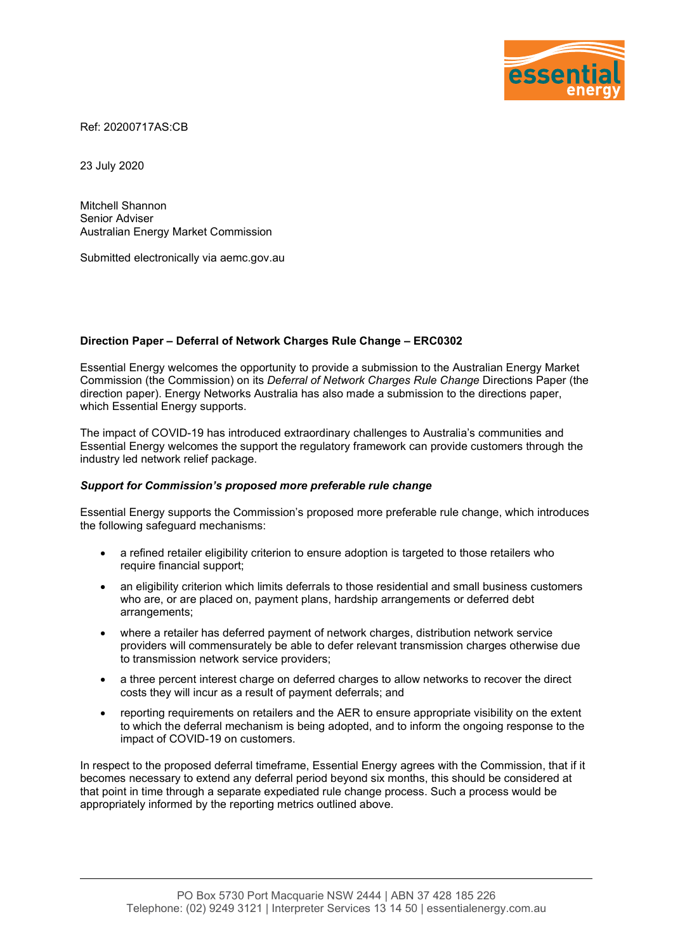

Ref: 20200717AS:CB

23 July 2020

Mitchell Shannon Senior Adviser Australian Energy Market Commission

Submitted electronically via aemc.gov.au

## Direction Paper – Deferral of Network Charges Rule Change – ERC0302

Essential Energy welcomes the opportunity to provide a submission to the Australian Energy Market Commission (the Commission) on its Deferral of Network Charges Rule Change Directions Paper (the direction paper). Energy Networks Australia has also made a submission to the directions paper, which Essential Energy supports.

The impact of COVID-19 has introduced extraordinary challenges to Australia's communities and Essential Energy welcomes the support the regulatory framework can provide customers through the industry led network relief package.

## Support for Commission's proposed more preferable rule change

Essential Energy supports the Commission's proposed more preferable rule change, which introduces the following safeguard mechanisms:

- a refined retailer eligibility criterion to ensure adoption is targeted to those retailers who require financial support;
- an eligibility criterion which limits deferrals to those residential and small business customers who are, or are placed on, payment plans, hardship arrangements or deferred debt arrangements;
- where a retailer has deferred payment of network charges, distribution network service providers will commensurately be able to defer relevant transmission charges otherwise due to transmission network service providers;
- a three percent interest charge on deferred charges to allow networks to recover the direct costs they will incur as a result of payment deferrals; and
- reporting requirements on retailers and the AER to ensure appropriate visibility on the extent to which the deferral mechanism is being adopted, and to inform the ongoing response to the impact of COVID-19 on customers.

In respect to the proposed deferral timeframe, Essential Energy agrees with the Commission, that if it becomes necessary to extend any deferral period beyond six months, this should be considered at that point in time through a separate expediated rule change process. Such a process would be appropriately informed by the reporting metrics outlined above.